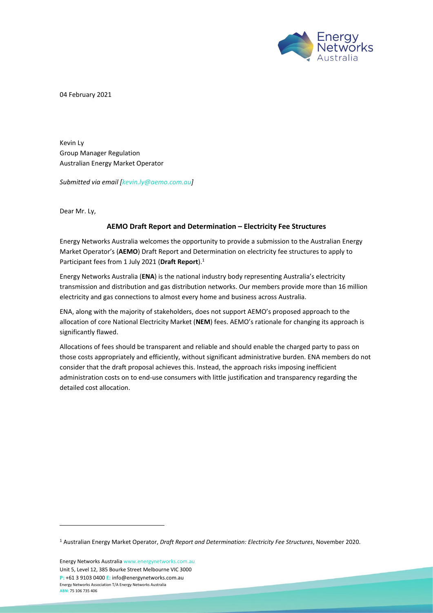

04 February 2021

Kevin Ly Group Manager Regulation Australian Energy Market Operator

*Submitted via email [\[kevin.ly@aemo.com.au\]](mailto:kevin.ly@aemo.com.au)* 

Dear Mr. Ly,

#### **AEMO Draft Report and Determination – Electricity Fee Structures**

Energy Networks Australia welcomes the opportunity to provide a submission to the Australian Energy Market Operator's (**AEMO**) Draft Report and Determination on electricity fee structures to apply to Participant fees from 1 July 2021 (**Draft Report**). 1

Energy Networks Australia (**ENA**) is the national industry body representing Australia's electricity transmission and distribution and gas distribution networks. Our members provide more than 16 million electricity and gas connections to almost every home and business across Australia.

ENA, along with the majority of stakeholders, does not support AEMO's proposed approach to the allocation of core National Electricity Market (**NEM**) fees. AEMO's rationale for changing its approach is significantly flawed.

Allocations of fees should be transparent and reliable and should enable the charged party to pass on those costs appropriately and efficiently, without significant administrative burden. ENA members do not consider that the draft proposal achieves this. Instead, the approach risks imposing inefficient administration costs on to end-use consumers with little justification and transparency regarding the detailed cost allocation.

Energy Networks Australi[a www.energynetworks.com.au](http://www.energynetworks.com.au/) Unit 5, Level 12, 385 Bourke Street Melbourne VIC 3000 **P:** +61 3 9103 0400 **E:** [info@energynetworks.com.au](mailto:info@energynetworks.com.au) Energy Networks Association T/A Energy Networks Australia **ABN:** 75 106 735 406

<sup>1</sup> Australian Energy Market Operator, *Draft Report and Determination: Electricity Fee Structures*, November 2020.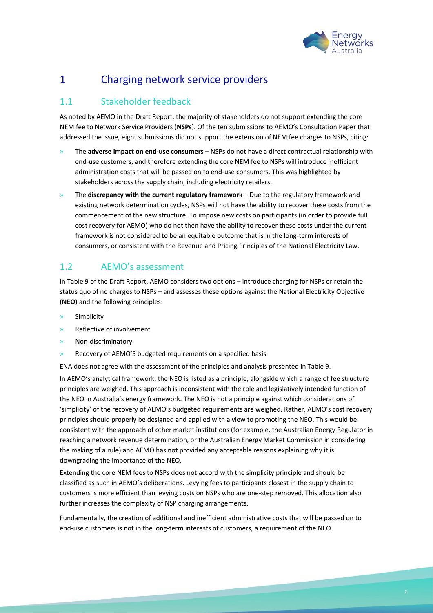

# 1 Charging network service providers

# 1.1 Stakeholder feedback

As noted by AEMO in the Draft Report, the majority of stakeholders do not support extending the core NEM fee to Network Service Providers (**NSPs**). Of the ten submissions to AEMO's Consultation Paper that addressed the issue, eight submissions did not support the extension of NEM fee charges to NSPs, citing:

- » The **adverse impact on end-use consumers** NSPs do not have a direct contractual relationship with end-use customers, and therefore extending the core NEM fee to NSPs will introduce inefficient administration costs that will be passed on to end-use consumers. This was highlighted by stakeholders across the supply chain, including electricity retailers.
- » The **discrepancy with the current regulatory framework** Due to the regulatory framework and existing network determination cycles, NSPs will not have the ability to recover these costs from the commencement of the new structure. To impose new costs on participants (in order to provide full cost recovery for AEMO) who do not then have the ability to recover these costs under the current framework is not considered to be an equitable outcome that is in the long-term interests of consumers, or consistent with the Revenue and Pricing Principles of the National Electricity Law.

# 1.2 AEMO's assessment

In Table 9 of the Draft Report, AEMO considers two options – introduce charging for NSPs or retain the status quo of no charges to NSPs – and assesses these options against the National Electricity Objective (**NEO**) and the following principles:

- **Simplicity**
- » Reflective of involvement
- » Non-discriminatory
- Recovery of AEMO'S budgeted requirements on a specified basis
- ENA does not agree with the assessment of the principles and analysis presented in Table 9.

In AEMO's analytical framework, the NEO is listed as a principle, alongside which a range of fee structure principles are weighed. This approach is inconsistent with the role and legislatively intended function of the NEO in Australia's energy framework. The NEO is not a principle against which considerations of 'simplicity' of the recovery of AEMO's budgeted requirements are weighed. Rather, AEMO's cost recovery principles should properly be designed and applied with a view to promoting the NEO. This would be consistent with the approach of other market institutions (for example, the Australian Energy Regulator in reaching a network revenue determination, or the Australian Energy Market Commission in considering the making of a rule) and AEMO has not provided any acceptable reasons explaining why it is downgrading the importance of the NEO.

Extending the core NEM fees to NSPs does not accord with the simplicity principle and should be classified as such in AEMO's deliberations. Levying fees to participants closest in the supply chain to customers is more efficient than levying costs on NSPs who are one-step removed. This allocation also further increases the complexity of NSP charging arrangements.

Fundamentally, the creation of additional and inefficient administrative costs that will be passed on to end-use customers is not in the long-term interests of customers, a requirement of the NEO.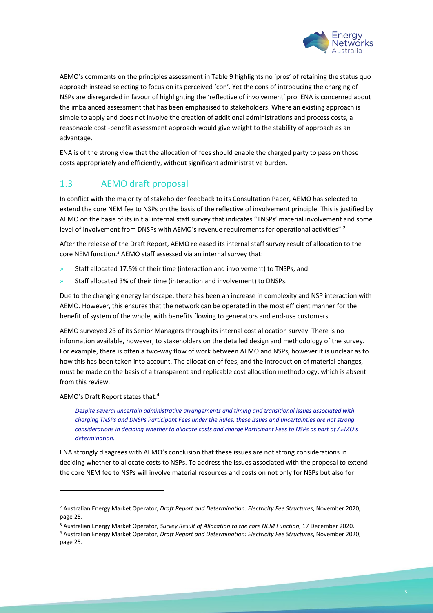

AEMO's comments on the principles assessment in Table 9 highlights no 'pros' of retaining the status quo approach instead selecting to focus on its perceived 'con'. Yet the cons of introducing the charging of NSPs are disregarded in favour of highlighting the 'reflective of involvement' pro. ENA is concerned about the imbalanced assessment that has been emphasised to stakeholders. Where an existing approach is simple to apply and does not involve the creation of additional administrations and process costs, a reasonable cost -benefit assessment approach would give weight to the stability of approach as an advantage.

ENA is of the strong view that the allocation of fees should enable the charged party to pass on those costs appropriately and efficiently, without significant administrative burden.

# 1.3 AEMO draft proposal

In conflict with the majority of stakeholder feedback to its Consultation Paper, AEMO has selected to extend the core NEM fee to NSPs on the basis of the reflective of involvement principle. This is justified by AEMO on the basis of its initial internal staff survey that indicates "TNSPs' material involvement and some level of involvement from DNSPs with AEMO's revenue requirements for operational activities".<sup>2</sup>

After the release of the Draft Report, AEMO released its internal staff survey result of allocation to the core NEM function.<sup>3</sup> AEMO staff assessed via an internal survey that:

- » Staff allocated 17.5% of their time (interaction and involvement) to TNSPs, and
- » Staff allocated 3% of their time (interaction and involvement) to DNSPs.

Due to the changing energy landscape, there has been an increase in complexity and NSP interaction with AEMO. However, this ensures that the network can be operated in the most efficient manner for the benefit of system of the whole, with benefits flowing to generators and end-use customers.

AEMO surveyed 23 of its Senior Managers through its internal cost allocation survey. There is no information available, however, to stakeholders on the detailed design and methodology of the survey. For example, there is often a two-way flow of work between AEMO and NSPs, however it is unclear as to how this has been taken into account. The allocation of fees, and the introduction of material changes, must be made on the basis of a transparent and replicable cost allocation methodology, which is absent from this review.

AEMO's Draft Report states that:<sup>4</sup>

*Despite several uncertain administrative arrangements and timing and transitional issues associated with charging TNSPs and DNSPs Participant Fees under the Rules, these issues and uncertainties are not strong considerations in deciding whether to allocate costs and charge Participant Fees to NSPs as part of AEMO's determination.* 

ENA strongly disagrees with AEMO's conclusion that these issues are not strong considerations in deciding whether to allocate costs to NSPs. To address the issues associated with the proposal to extend the core NEM fee to NSPs will involve material resources and costs on not only for NSPs but also for

<sup>2</sup> Australian Energy Market Operator, *Draft Report and Determination: Electricity Fee Structures*, November 2020, page 25.

<sup>3</sup> Australian Energy Market Operator, *Survey Result of Allocation to the core NEM Function*, 17 December 2020.

<sup>4</sup> Australian Energy Market Operator, *Draft Report and Determination: Electricity Fee Structures*, November 2020, page 25.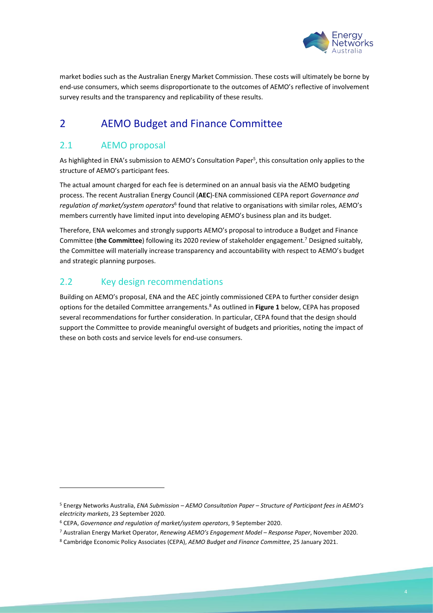

market bodies such as the Australian Energy Market Commission. These costs will ultimately be borne by end-use consumers, which seems disproportionate to the outcomes of AEMO's reflective of involvement survey results and the transparency and replicability of these results.

# 2 AEMO Budget and Finance Committee

# 2.1 AEMO proposal

As highlighted in ENA's submission to AEMO's Consultation Paper<sup>5</sup>, this consultation only applies to the structure of AEMO's participant fees.

The actual amount charged for each fee is determined on an annual basis via the AEMO budgeting process. The recent Australian Energy Council (**AEC**)-ENA commissioned CEPA report *Governance and regulation of market/system operators*<sup>6</sup> found that relative to organisations with similar roles, AEMO's members currently have limited input into developing AEMO's business plan and its budget.

Therefore, ENA welcomes and strongly supports AEMO's proposal to introduce a Budget and Finance Committee (**the Committee**) following its 2020 review of stakeholder engagement.<sup>7</sup> Designed suitably, the Committee will materially increase transparency and accountability with respect to AEMO's budget and strategic planning purposes.

# 2.2 Key design recommendations

Building on AEMO's proposal, ENA and the AEC jointly commissioned CEPA to further consider design options for the detailed Committee arrangements.<sup>8</sup> As outlined in **Figure 1** below, CEPA has proposed several recommendations for further consideration. In particular, CEPA found that the design should support the Committee to provide meaningful oversight of budgets and priorities, noting the impact of these on both costs and service levels for end-use consumers.

<sup>5</sup> Energy Networks Australia, *ENA Submission – AEMO Consultation Paper – Structure of Participant fees in AEMO's electricity markets*, 23 September 2020.

<sup>6</sup> CEPA, *Governance and regulation of market/system operators*, 9 September 2020.

<sup>7</sup> Australian Energy Market Operator, *Renewing AEMO's Engagement Model – Response Paper*, November 2020.

<sup>8</sup> Cambridge Economic Policy Associates (CEPA), *AEMO Budget and Finance Committee*, 25 January 2021.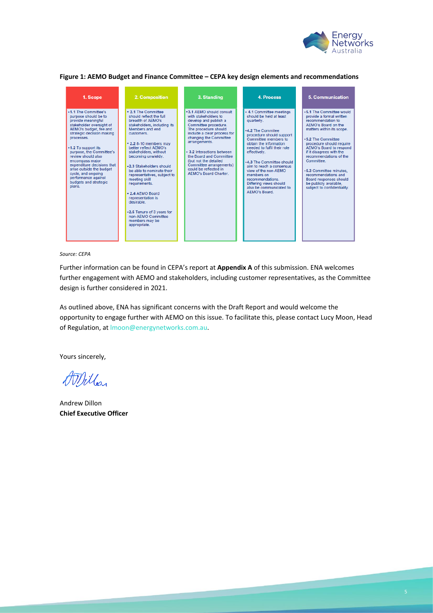

**Figure 1: AEMO Budget and Finance Committee – CEPA key design elements and recommendations**

| 1. Scope                                                                                                                                                                                                                                                                                                                                                                                                  | 2. Composition                                                                                                                                                                                                                                                                                                                                                                                                                                                                                                    | 3. Standing                                                                                                                                                                                                                                                                                                                                                               | <b>4. Process</b>                                                                                                                                                                                                                                                                                                                                                                                                   | 5. Communication                                                                                                                                                                                                                                                                                                                                                                                                   |
|-----------------------------------------------------------------------------------------------------------------------------------------------------------------------------------------------------------------------------------------------------------------------------------------------------------------------------------------------------------------------------------------------------------|-------------------------------------------------------------------------------------------------------------------------------------------------------------------------------------------------------------------------------------------------------------------------------------------------------------------------------------------------------------------------------------------------------------------------------------------------------------------------------------------------------------------|---------------------------------------------------------------------------------------------------------------------------------------------------------------------------------------------------------------------------------------------------------------------------------------------------------------------------------------------------------------------------|---------------------------------------------------------------------------------------------------------------------------------------------------------------------------------------------------------------------------------------------------------------------------------------------------------------------------------------------------------------------------------------------------------------------|--------------------------------------------------------------------------------------------------------------------------------------------------------------------------------------------------------------------------------------------------------------------------------------------------------------------------------------------------------------------------------------------------------------------|
| •1.1 The Committee's<br>purpose should be to<br>provide meaningful<br>stakeholder oversight of<br>AEMO's budget, fee and<br>strategic decision making<br>processes.<br>•1.2 To support its<br>purpose, the Committee's<br>review should also<br>encompass major<br>expenditure decisions that<br>arise outside the budget<br>cycle, and ongoing<br>performance against<br>budgets and strategic<br>plans. | . 2.1 The Committee<br>should reflect the full<br>breadth of AFMO's<br>stakeholders, including its<br>Members and end<br><b>customers</b><br>. 2.2 8-10 members may<br>better reflect AEMO's<br>stakeholders, without<br>becoming unwieldy.<br>.2.3 Stakeholders should<br>be able to nominate their<br>representatives, subject to<br>meeting skill<br>requirements.<br>• 2.4 AEMO Board<br>representation is<br>desirable<br>•2.5 Tenure of 3 years for<br>non-AEMO Committee<br>members may be<br>appropriate. | •3.1 AEMO should consult<br>with stakeholders to<br>develop and publish a<br>Committee procedure.<br>The procedure should<br>include a clear process for<br>changing the Committee<br>arrangements.<br>• 3.2 Interactions between<br>the Board and Committee<br>(but not the detailed<br>Committee arrangements)<br>could be reflected in<br><b>AEMO's Board Charter.</b> | • 4.1 Committee meetings<br>should be held at least<br>quarterly.<br>.4.2 The Commitee<br>procedure should support<br>Committee members to<br>obtain the information.<br>needed to fulfil their role<br>effectively.<br>+4.3 The Committee should<br>aim to reach a consensus<br>view of the non-AEMO<br>members on<br><b>recommendations</b><br>Differing views should<br>also be communicated to<br>AEMO's Board. | .5.1 The Committee would<br>provide a formal written<br>recommendation to<br>AEMO's Board on the<br>matters within its scope.<br>.5.2 The Committee<br>procedure should require<br>AEMO's Board to respond<br>if it disagrees with the<br>recommendations of the<br>Committee<br>•5.3 Committee minutes.<br>recommendations and<br>Board responses should<br>be publicly available.<br>subject to confidentiality. |

*Source: CEPA*

Further information can be found in CEPA's report at **Appendix A** of this submission. ENA welcomes further engagement with AEMO and stakeholders, including customer representatives, as the Committee design is further considered in 2021.

As outlined above, ENA has significant concerns with the Draft Report and would welcome the opportunity to engage further with AEMO on this issue. To facilitate this, please contact Lucy Moon, Head of Regulation, a[t lmoon@energynetworks.com.au.](mailto:lmoon@energynetworks.com.au)

Yours sincerely,

AMillon

Andrew Dillon **Chief Executive Officer**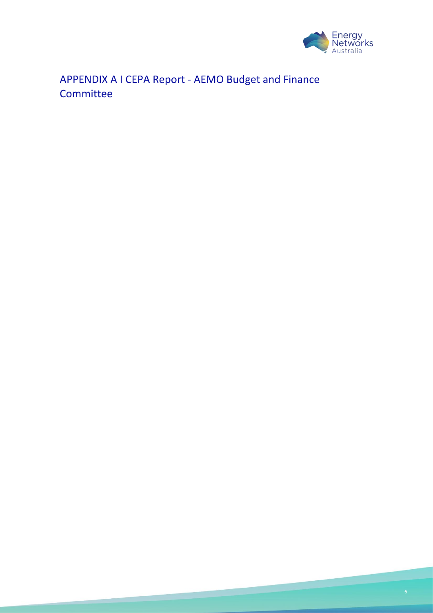

APPENDIX A I CEPA Report - AEMO Budget and Finance **Committee** 

<u> André de la Parisión de la Pa</u>

**Proprietary Committee**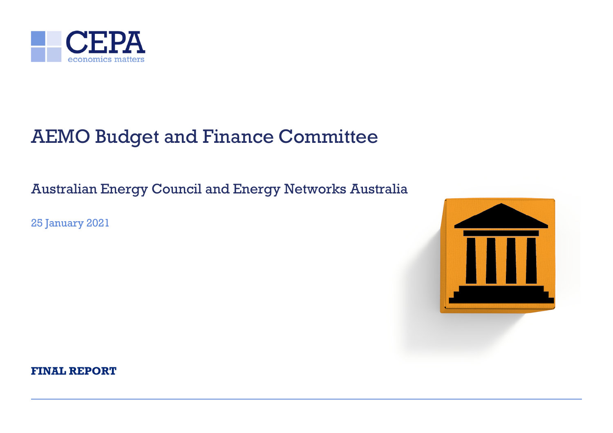

# AEMO Budget and Finance Committee

Australian Energy Council and Energy Networks Australia

25 January 2021



**FINAL REPORT**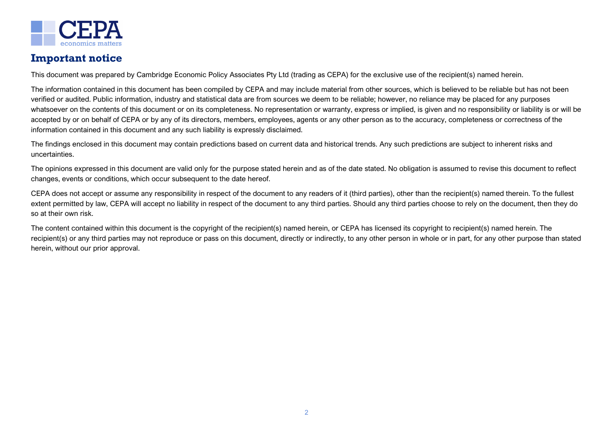

# **Important notice**

This document was prepared by Cambridge Economic Policy Associates Pty Ltd (trading as CEPA) for the exclusive use of the recipient(s) named herein.

The information contained in this document has been compiled by CEPA and may include material from other sources, which is believed to be reliable but has not been verified or audited. Public information, industry and statistical data are from sources we deem to be reliable; however, no reliance may be placed for any purposes whatsoever on the contents of this document or on its completeness. No representation or warranty, express or implied, is given and no responsibility or liability is or will be accepted by or on behalf of CEPA or by any of its directors, members, employees, agents or any other person as to the accuracy, completeness or correctness of the information contained in this document and any such liability is expressly disclaimed.

The findings enclosed in this document may contain predictions based on current data and historical trends. Any such predictions are subject to inherent risks and uncertainties.

The opinions expressed in this document are valid only for the purpose stated herein and as of the date stated. No obligation is assumed to revise this document to reflect changes, events or conditions, which occur subsequent to the date hereof.

CEPA does not accept or assume any responsibility in respect of the document to any readers of it (third parties), other than the recipient(s) named therein. To the fullest extent permitted by law, CEPA will accept no liability in respect of the document to any third parties. Should any third parties choose to rely on the document, then they do so at their own risk.

The content contained within this document is the copyright of the recipient(s) named herein, or CEPA has licensed its copyright to recipient(s) named herein. The recipient(s) or any third parties may not reproduce or pass on this document, directly or indirectly, to any other person in whole or in part, for any other purpose than stated herein, without our prior approval.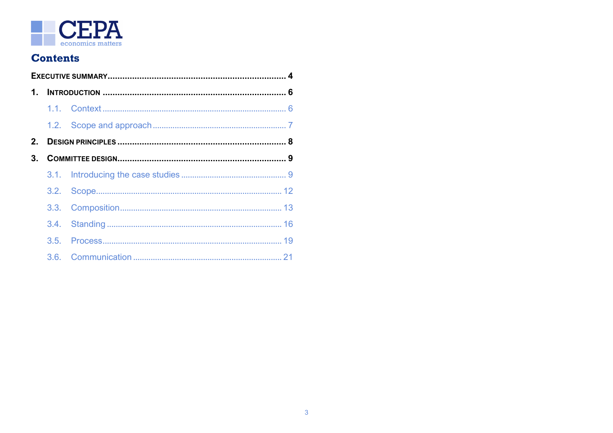

# **Contents**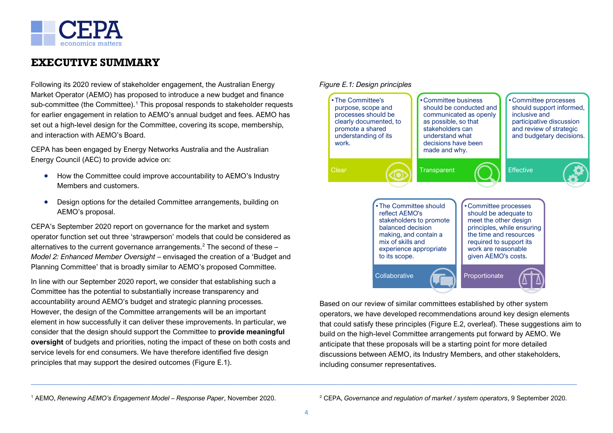

# <span id="page-9-0"></span>**EXECUTIVE SUMMARY**

Following its 2020 review of stakeholder engagement, the Australian Energy Market Operator (AEMO) has proposed to introduce a new budget and finance sub-committee (the Committee). [1](#page-10-0) This proposal responds to stakeholder requests for earlier engagement in relation to AEMO's annual budget and fees. AEMO has set out a high-level design for the Committee, covering its scope, membership, and interaction with AEMO's Board.

CEPA has been engaged by Energy Networks Australia and the Australian Energy Council (AEC) to provide advice on:

- How the Committee could improve accountability to AEMO's Industry Members and customers.
- Design options for the detailed Committee arrangements, building on AEMO's proposal.

CEPA's September 2020 report on governance for the market and system operator function set out three 'strawperson' models that could be considered as alternatives to the current governance arrangements. [2](#page-10-1) The second of these – *Model 2: Enhanced Member Oversight* – envisaged the creation of a 'Budget and Planning Committee' that is broadly similar to AEMO's proposed Committee.

In line with our September 2020 report, we consider that establishing such a Committee has the potential to substantially increase transparency and accountability around AEMO's budget and strategic planning processes. However, the design of the Committee arrangements will be an important element in how successfully it can deliver these improvements. In particular, we consider that the design should support the Committee to **provide meaningful oversight** of budgets and priorities, noting the impact of these on both costs and service levels for end consumers. We have therefore identified five design principles that may support the desired outcomes (Figure E.1).



Based on our review of similar committees established by other system operators, we have developed recommendations around key design elements that could satisfy these principles (Figure E.2, overleaf). These suggestions aim to build on the high-level Committee arrangements put forward by AEMO. We anticipate that these proposals will be a starting point for more detailed discussions between AEMO, its Industry Members, and other stakeholders, including consumer representatives.

<sup>1</sup> AEMO, *Renewing AEMO's Engagement Model – Response Paper*, November 2020.

<sup>2</sup> CEPA, *Governance and regulation of market / system operators*, 9 September 2020.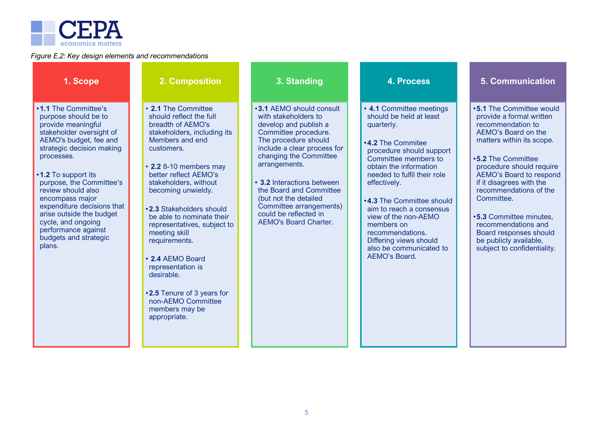<span id="page-10-1"></span><span id="page-10-0"></span>

#### *Figure E.2: Key design elements and recommendations*

| 1. Scope                                                                                                                                                                                                                                                                                                                                                                                                  | 2. Composition                                                                                                                                                                                                                                                                                                                                                                                                                                                                                               | 3. Standing                                                                                                                                                                                                                                                                                                                                                               | <b>4. Process</b>                                                                                                                                                                                                                                                                                                                                                                                                          | <b>5. Communication</b>                                                                                                                                                                                                                                                                                                                                                                                                    |
|-----------------------------------------------------------------------------------------------------------------------------------------------------------------------------------------------------------------------------------------------------------------------------------------------------------------------------------------------------------------------------------------------------------|--------------------------------------------------------------------------------------------------------------------------------------------------------------------------------------------------------------------------------------------------------------------------------------------------------------------------------------------------------------------------------------------------------------------------------------------------------------------------------------------------------------|---------------------------------------------------------------------------------------------------------------------------------------------------------------------------------------------------------------------------------------------------------------------------------------------------------------------------------------------------------------------------|----------------------------------------------------------------------------------------------------------------------------------------------------------------------------------------------------------------------------------------------------------------------------------------------------------------------------------------------------------------------------------------------------------------------------|----------------------------------------------------------------------------------------------------------------------------------------------------------------------------------------------------------------------------------------------------------------------------------------------------------------------------------------------------------------------------------------------------------------------------|
| •1.1 The Committee's<br>purpose should be to<br>provide meaningful<br>stakeholder oversight of<br>AEMO's budget, fee and<br>strategic decision making<br>processes.<br>•1.2 To support its<br>purpose, the Committee's<br>review should also<br>encompass major<br>expenditure decisions that<br>arise outside the budget<br>cycle, and ongoing<br>performance against<br>budgets and strategic<br>plans. | • 2.1 The Committee<br>should reflect the full<br>breadth of AEMO's<br>stakeholders, including its<br>Members and end<br>customers.<br>• 2.2 8-10 members may<br>better reflect AEMO's<br>stakeholders, without<br>becoming unwieldy.<br>.2.3 Stakeholders should<br>be able to nominate their<br>representatives, subject to<br>meeting skill<br>requirements.<br>• 2.4 AEMO Board<br>representation is<br>desirable.<br>.2.5 Tenure of 3 years for<br>non-AEMO Committee<br>members may be<br>appropriate. | •3.1 AEMO should consult<br>with stakeholders to<br>develop and publish a<br>Committee procedure.<br>The procedure should<br>include a clear process for<br>changing the Committee<br>arrangements.<br>• 3.2 Interactions between<br>the Board and Committee<br>(but not the detailed<br>Committee arrangements)<br>could be reflected in<br><b>AEMO's Board Charter.</b> | • 4.1 Committee meetings<br>should be held at least<br>quarterly.<br><b>.4.2 The Commitee</b><br>procedure should support<br>Committee members to<br>obtain the information<br>needed to fulfil their role<br>effectively.<br><b>.4.3 The Committee should</b><br>aim to reach a consensus<br>view of the non-AEMO<br>members on<br>recommendations.<br>Differing views should<br>also be communicated to<br>AEMO's Board. | •5.1 The Committee would<br>provide a formal written<br>recommendation to<br>AEMO's Board on the<br>matters within its scope.<br>•5.2 The Committee<br>procedure should require<br>AEMO's Board to respond<br>if it disagrees with the<br>recommendations of the<br>Committee.<br><b>.5.3 Committee minutes,</b><br>recommendations and<br>Board responses should<br>be publicly available,<br>subject to confidentiality. |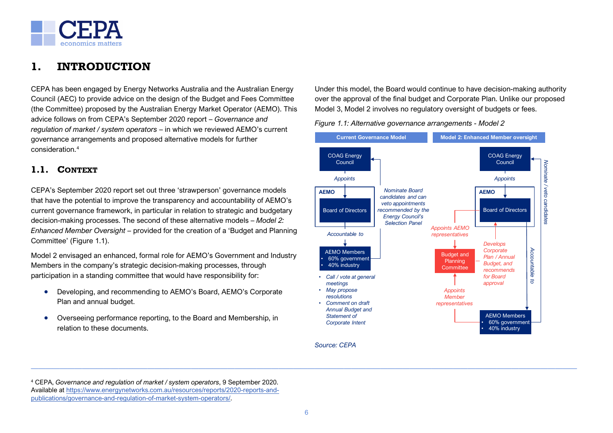

# <span id="page-11-0"></span>**1. INTRODUCTION**

CEPA has been engaged by Energy Networks Australia and the Australian Energy Council (AEC) to provide advice on the design of the Budget and Fees Committee (the Committee) proposed by the Australian Energy Market Operator (AEMO). This advice follows on from CEPA's September 2020 report – *Governance and regulation of market / system operators* – in which we reviewed AEMO's current governance arrangements and proposed alternative models for further consideration<sup>[4](#page-14-2)</sup>

# <span id="page-11-1"></span>**1.1. CONTEXT**

CEPA's September 2020 report set out three 'strawperson' governance models that have the potential to improve the transparency and accountability of AEMO's current governance framework, in particular in relation to strategic and budgetary decision-making processes. The second of these alternative models – *Model 2: Enhanced Member Oversight* – provided for the creation of a 'Budget and Planning Committee' [\(Figure 1.1\)](#page-11-2).

Model 2 envisaged an enhanced, formal role for AEMO's Government and Industry Members in the company's strategic decision-making processes, through participation in a standing committee that would have responsibility for:

- Developing, and recommending to AEMO's Board, AEMO's Corporate Plan and annual budget.
- Overseeing performance reporting, to the Board and Membership, in relation to these documents.

Under this model, the Board would continue to have decision-making authority over the approval of the final budget and Corporate Plan. Unlike our proposed Model 3, Model 2 involves no regulatory oversight of budgets or fees.

<span id="page-11-2"></span>*Figure 1.1: Alternative governance arrangements - Model 2*



*Source: CEPA*

<sup>4</sup> CEPA, *Governance and regulation of market / system operators*, 9 September 2020. Available at [https://www.energynetworks.com.au/resources/reports/2020-reports-and](https://www.energynetworks.com.au/resources/reports/2020-reports-and-publications/governance-and-regulation-of-market-system-operators/)[publications/governance-and-regulation-of-market-system-operators/.](https://www.energynetworks.com.au/resources/reports/2020-reports-and-publications/governance-and-regulation-of-market-system-operators/)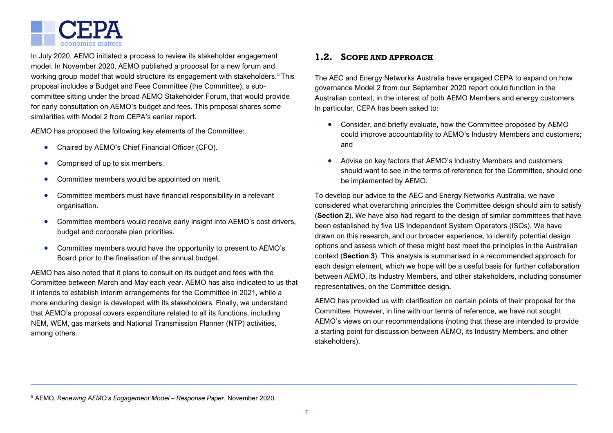

In July 2020, AEMO initiated a process to review its stakeholder engagement model. In November 2020, AEMO published a proposal for a new forum and working group model that would structure its engagement with stakeholders.<sup>[5](#page-15-0)</sup> This proposal includes a Budget and Fees Committee (the Committee), a subcommittee sitting under the broad AEMO Stakeholder Forum, that would provide for early consultation on AEMO's budget and fees. This proposal shares some similarities with Model 2 from CEPA's earlier report.

AEMO has proposed the following key elements of the Committee:

- Chaired by AEMO's Chief Financial Officer (CFO).
- Comprised of up to six members.
- Committee members would be appointed on merit.
- Committee members must have financial responsibility in a relevant organisation.
- Committee members would receive early insight into AEMO's cost drivers, budget and corporate plan priorities.
- Committee members would have the opportunity to present to AEMO's Board prior to the finalisation of the annual budget.

AEMO has also noted that it plans to consult on its budget and fees with the Committee between March and May each year. AEMO has also indicated to us that it intends to establish interim arrangements for the Committee in 2021, while a more enduring design is developed with its stakeholders. Finally, we understand that AEMO's proposal covers expenditure related to all its functions, including NEM, WEM, gas markets and National Transmission Planner (NTP) activities, among others.

### <span id="page-12-0"></span>**1.2. SCOPE AND APPROACH**

The AEC and Energy Networks Australia have engaged CEPA to expand on how governance Model 2 from our September 2020 report could function in the Australian context, in the interest of both AEMO Members and energy customers. In particular, CEPA has been asked to:

- Consider, and briefly evaluate, how the Committee proposed by AEMO could improve accountability to AEMO's Industry Members and customers; and
- Advise on key factors that AEMO's Industry Members and customers should want to see in the terms of reference for the Committee, should one be implemented by AEMO.

To develop our advice to the AEC and Energy Networks Australia, we have considered what overarching principles the Committee design should aim to satisfy (**Section [2](#page-13-0)**). We have also had regard to the design of similar committees that have been established by five US Independent System Operators (ISOs). We have drawn on this research, and our broader experience, to identify potential design options and assess which of these might best meet the principles in the Australian context (**Section [3](#page-14-0)**). This analysis is summarised in a recommended approach for each design element, which we hope will be a useful basis for further collaboration between AEMO, its Industry Members, and other stakeholders, including consumer representatives, on the Committee design.

AEMO has provided us with clarification on certain points of their proposal for the Committee. However, in line with our terms of reference, we have not sought AEMO's views on our recommendations (noting that these are intended to provide a starting point for discussion between AEMO, its Industry Members, and other stakeholders).

<sup>5</sup> AEMO, *Renewing AEMO's Engagement Model – Response Paper*, November 2020.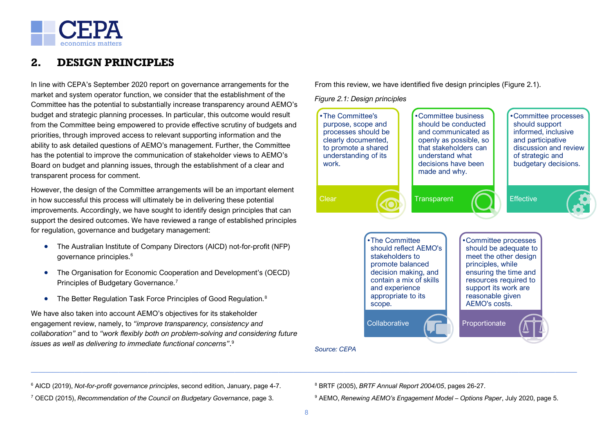

# <span id="page-13-0"></span>**2. DESIGN PRINCIPLES**

In line with CEPA's September 2020 report on governance arrangements for the market and system operator function, we consider that the establishment of the Committee has the potential to substantially increase transparency around AEMO's budget and strategic planning processes. In particular, this outcome would result from the Committee being empowered to provide effective scrutiny of budgets and priorities, through improved access to relevant supporting information and the ability to ask detailed questions of AEMO's management. Further, the Committee has the potential to improve the communication of stakeholder views to AEMO's Board on budget and planning issues, through the establishment of a clear and transparent process for comment.

However, the design of the Committee arrangements will be an important element in how successful this process will ultimately be in delivering these potential improvements. Accordingly, we have sought to identify design principles that can support the desired outcomes. We have reviewed a range of established principles for regulation, governance and budgetary management:

- The Australian Institute of Company Directors (AICD) not-for-profit (NFP) governance principles.[6](#page-17-1)
- The Organisation for Economic Cooperation and Development's (OECD) Principles of Budgetary Governance.<sup>[7](#page-17-2)</sup>
- The Better Regulation Task Force Principles of Good Regulation.<sup>[8](#page-17-1)</sup>

We have also taken into account AEMO's objectives for its stakeholder engagement review, namely, to *"improve transparency, consistency and collaboration"* and to *"work flexibly both on problem-solving and considering future issues as well as delivering to immediate functional concerns"*. [9](#page-17-2)

From this review, we have identified five design principles [\(Figure 2.1\)](#page-13-1).

<span id="page-13-1"></span>*Figure 2.1: Design principles*



*Source: CEPA*

- <sup>6</sup> AICD (2019), *Not-for-profit governance principles*, second edition, January, page 4-7.
- <sup>7</sup> OECD (2015), *Recommendation of the Council on Budgetary Governance*, page 3.
- <sup>8</sup> BRTF (2005), *BRTF Annual Report 2004/05*, pages 26-27.
- <sup>9</sup> AEMO, *Renewing AEMO's Engagement Model – Options Paper*, July 2020, page 5.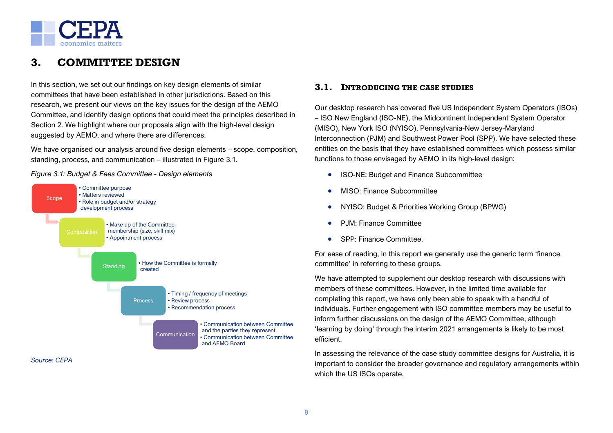

# <span id="page-14-0"></span>**3. COMMITTEE DESIGN**

In this section, we set out our findings on key design elements of similar committees that have been established in other jurisdictions. Based on this research, we present our views on the key issues for the design of the AEMO Committee, and identify design options that could meet the principles described in Section [2.](#page-13-0) We highlight where our proposals align with the high-level design suggested by AEMO, and where there are differences.

We have organised our analysis around five design elements – scope, composition, standing, process, and communication – illustrated in [Figure 3.1.](#page-14-3)

<span id="page-14-3"></span>*Figure 3.1: Budget & Fees Committee - Design elements*



### <span id="page-14-2"></span><span id="page-14-1"></span>**3.1. INTRODUCING THE CASE STUDIES**

Our desktop research has covered five US Independent System Operators (ISOs) – ISO New England (ISO-NE), the Midcontinent Independent System Operator (MISO), New York ISO (NYISO), Pennsylvania-New Jersey-Maryland Interconnection (PJM) and Southwest Power Pool (SPP). We have selected these entities on the basis that they have established committees which possess similar functions to those envisaged by AEMO in its high-level design:

- ISO-NE: Budget and Finance Subcommittee
- MISO: Finance Subcommittee
- NYISO: Budget & Priorities Working Group (BPWG)
- PJM: Finance Committee
- SPP: Finance Committee.

For ease of reading, in this report we generally use the generic term 'finance committee' in referring to these groups.

We have attempted to supplement our desktop research with discussions with members of these committees. However, in the limited time available for completing this report, we have only been able to speak with a handful of individuals. Further engagement with ISO committee members may be useful to inform further discussions on the design of the AEMO Committee, although 'learning by doing' through the interim 2021 arrangements is likely to be most efficient.

In assessing the relevance of the case study committee designs for Australia, it is important to consider the broader governance and regulatory arrangements within which the US ISOs operate.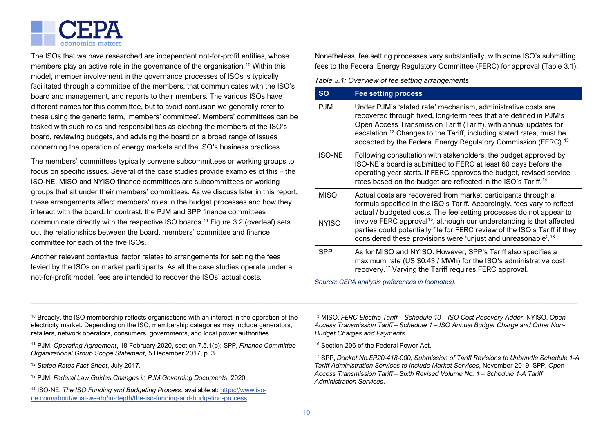

The ISOs that we have researched are independent not-for-profit entities, whose members play an active role in the governance of the organisation.<sup>[10](#page-22-0)</sup> Within this model, member involvement in the governance processes of ISOs is typically facilitated through a committee of the members, that communicates with the ISO's board and management, and reports to their members. The various ISOs have different names for this committee, but to avoid confusion we generally refer to these using the generic term, 'members' committee'. Members' committees can be tasked with such roles and responsibilities as electing the members of the ISO's board, reviewing budgets, and advising the board on a broad range of issues concerning the operation of energy markets and the ISO's business practices.

The members' committees typically convene subcommittees or working groups to focus on specific issues. Several of the case studies provide examples of this – the ISO-NE, MISO and NYISO finance committees are subcommittees or working groups that sit under their members' committees. As we discuss later in this report, these arrangements affect members' roles in the budget processes and how they interact with the board. In contrast, the PJM and SPP finance committees communicate directly with the respective ISO boards. [11](#page-22-1) [Figure 3.2](#page-16-0) (overleaf) sets out the relationships between the board, members' committee and finance committee for each of the five ISOs.

Another relevant contextual factor relates to arrangements for setting the fees levied by the ISOs on market participants. As all the case studies operate under a not-for-profit model, fees are intended to recover the ISOs' actual costs.

<span id="page-15-0"></span>Nonetheless, fee setting processes vary substantially, with some ISO's submitting fees to the Federal Energy Regulatory Committee (FERC) for approval [\(Table 3.1\)](#page-15-1).

<span id="page-15-1"></span>*Table 3.1: Overview of fee setting arrangements*

| <b>SO</b>     | <b>Fee setting process</b>                                                                                                                                                                                                                                                                                                                                                |
|---------------|---------------------------------------------------------------------------------------------------------------------------------------------------------------------------------------------------------------------------------------------------------------------------------------------------------------------------------------------------------------------------|
| <b>PJM</b>    | Under PJM's 'stated rate' mechanism, administrative costs are<br>recovered through fixed, long-term fees that are defined in PJM's<br>Open Access Transmission Tariff (Tariff), with annual updates for<br>escalation. <sup>12</sup> Changes to the Tariff, including stated rates, must be<br>accepted by the Federal Energy Regulatory Commission (FERC). <sup>13</sup> |
| <b>ISO-NE</b> | Following consultation with stakeholders, the budget approved by<br>ISO-NE's board is submitted to FERC at least 60 days before the<br>operating year starts. If FERC approves the budget, revised service<br>rates based on the budget are reflected in the ISO's Tariff. <sup>14</sup>                                                                                  |
| <b>MISO</b>   | Actual costs are recovered from market participants through a<br>formula specified in the ISO's Tariff. Accordingly, fees vary to reflect<br>actual / budgeted costs. The fee setting processes do not appear to                                                                                                                                                          |
| <b>NYISO</b>  | involve FERC approval <sup>15</sup> , although our understanding is that affected<br>parties could potentially file for FERC review of the ISO's Tariff if they<br>considered these provisions were 'unjust and unreasonable'. <sup>16</sup>                                                                                                                              |
| SPP           | As for MISO and NYISO. However, SPP's Tariff also specifies a<br>maximum rate (US \$0.43 / MWh) for the ISO's administrative cost<br>recovery. <sup>17</sup> Varying the Tariff requires FERC approval.                                                                                                                                                                   |

*Source: CEPA analysis (references in footnotes).*

<sup>10</sup> Broadly, the ISO membership reflects organisations with an interest in the operation of the electricity market. Depending on the ISO, membership categories may include generators, retailers, network operators, consumers, governments, and local power authorities.

<sup>11</sup> PJM, *Operating Agreement*, 18 February 2020, section 7.5.1(b); SPP, *Finance Committee Organizational Group Scope Statement*, 5 December 2017, p. 3.

- <sup>12</sup> *Stated Rates Fact Sheet*, July 2017.
- <sup>13</sup> PJM, *Federal Law Guides Changes in PJM Governing Documents*, 2020.

<sup>14</sup> ISO-NE, *The ISO Funding and Budgeting Process*, available at[: https://www.iso](https://www.iso-ne.com/about/what-we-do/in-depth/the-iso-funding-and-budgeting-process)[ne.com/about/what-we-do/in-depth/the-iso-funding-and-budgeting-process.](https://www.iso-ne.com/about/what-we-do/in-depth/the-iso-funding-and-budgeting-process)

<sup>15</sup> MISO, *FERC Electric Tariff – Schedule 10 – ISO Cost Recovery Adder*. NYISO, *Open Access Transmission Tariff – Schedule 1 – ISO Annual Budget Charge and Other Non-Budget Charges and Payments*.

<sup>16</sup> Section 206 of the Federal Power Act.

<sup>17</sup> SPP, *Docket No.ER20-418-000, Submission of Tariff Revisions to Unbundle Schedule 1-A Tariff Administration Services to Include Market Services*, November 2019. SPP, *Ope*n *Access Transmission Tariff – Sixth Revised Volume No. 1 – Schedule 1-A Tariff Administration Services*.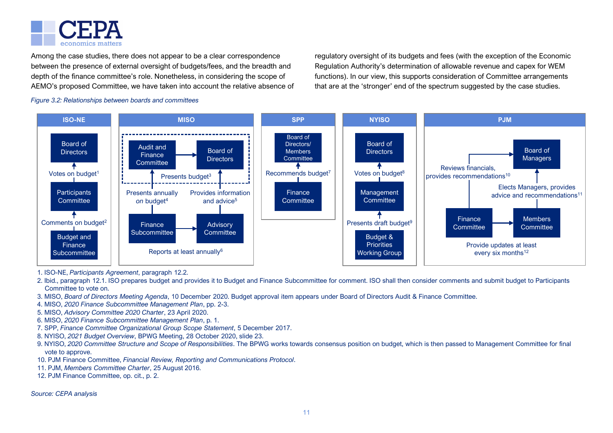

Among the case studies, there does not appear to be a clear correspondence between the presence of external oversight of budgets/fees, and the breadth and depth of the finance committee's role. Nonetheless, in considering the scope of AEMO's proposed Committee, we have taken into account the relative absence of regulatory oversight of its budgets and fees (with the exception of the Economic Regulation Authority's determination of allowable revenue and capex for WEM functions). In our view, this supports consideration of Committee arrangements that are at the 'stronger' end of the spectrum suggested by the case studies.

<span id="page-16-0"></span>*Figure 3.2: Relationships between boards and committees*



- 1. ISO-NE, *Participants Agreement*, paragraph 12.2.
- 2. Ibid., paragraph 12.1. ISO prepares budget and provides it to Budget and Finance Subcommittee for comment. ISO shall then consider comments and submit budget to Participants Committee to vote on.
- 3. MISO, *Board of Directors Meeting Agenda*, 10 December 2020. Budget approval item appears under Board of Directors Audit & Finance Committee.
- 4. MISO, *2020 Finance Subcommittee Management Plan*, pp. 2-3.
- 5. MISO, *Advisory Committee 2020 Charter*, 23 April 2020.
- 6. MISO, *2020 Finance Subcommittee Management Plan*, p. 1.
- 7. SPP, *Finance Committee Organizational Group Scope Statement*, 5 December 2017.
- 8. NYISO, *2021 Budget Overview*, BPWG Meeting, 28 October 2020, slide 23.
- 9. NYISO, *2020 Committee Structure and Scope of Responsibilities*. The BPWG works towards consensus position on budget, which is then passed to Management Committee for final vote to approve.
- 10. PJM Finance Committee, *Financial Review, Reporting and Communications Protocol*.
- 11. PJM, *Members Committee Charter*, 25 August 2016.
- 12. PJM Finance Committee, op. cit., p. 2.

*Source: CEPA analysis*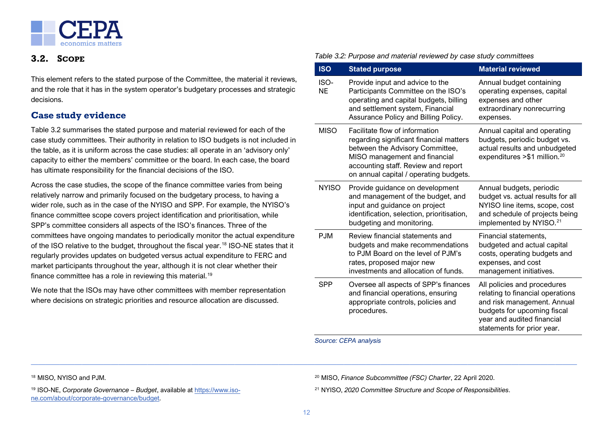

### <span id="page-17-0"></span>**3.2. SCOPE**

This element refers to the stated purpose of the Committee, the material it reviews, and the role that it has in the system operator's budgetary processes and strategic decisions.

# **Case study evidence**

[Table 3.2](#page-17-3) summarises the stated purpose and material reviewed for each of the case study committees. Their authority in relation to ISO budgets is not included in the table, as it is uniform across the case studies: all operate in an 'advisory only' capacity to either the members' committee or the board. In each case, the board has ultimate responsibility for the financial decisions of the ISO.

Across the case studies, the scope of the finance committee varies from being relatively narrow and primarily focused on the budgetary process, to having a wider role, such as in the case of the NYISO and SPP. For example, the NYISO's finance committee scope covers project identification and prioritisation, while SPP's committee considers all aspects of the ISO's finances. Three of the committees have ongoing mandates to periodically monitor the actual expenditure of the ISO relative to the budget, throughout the fiscal year.[18](#page-25-0) ISO-NE states that it regularly provides updates on budgeted versus actual expenditure to FERC and market participants throughout the year, although it is not clear whether their finance committee has a role in reviewing this material.<sup>[19](#page-25-1)</sup>

We note that the ISOs may have other committees with member representation where decisions on strategic priorities and resource allocation are discussed.

#### <span id="page-17-3"></span><span id="page-17-2"></span><span id="page-17-1"></span>*Table 3.2: Purpose and material reviewed by case study committees*

| <b>ISO</b>        | <b>Stated purpose</b>                                                                                                                                                                                                          | <b>Material reviewed</b>                                                                                                                                                                  |
|-------------------|--------------------------------------------------------------------------------------------------------------------------------------------------------------------------------------------------------------------------------|-------------------------------------------------------------------------------------------------------------------------------------------------------------------------------------------|
| ISO-<br><b>NE</b> | Provide input and advice to the<br>Participants Committee on the ISO's<br>operating and capital budgets, billing<br>and settlement system, Financial<br>Assurance Policy and Billing Policy.                                   | Annual budget containing<br>operating expenses, capital<br>expenses and other<br>extraordinary nonrecurring<br>expenses.                                                                  |
| <b>MISO</b>       | Facilitate flow of information<br>regarding significant financial matters<br>between the Advisory Committee,<br>MISO management and financial<br>accounting staff. Review and report<br>on annual capital / operating budgets. | Annual capital and operating<br>budgets, periodic budget vs.<br>actual results and unbudgeted<br>expenditures > \$1 million. <sup>20</sup>                                                |
| <b>NYISO</b>      | Provide guidance on development<br>and management of the budget, and<br>input and guidance on project<br>identification, selection, prioritisation,<br>budgeting and monitoring.                                               | Annual budgets, periodic<br>budget vs. actual results for all<br>NYISO line items, scope, cost<br>and schedule of projects being<br>implemented by NYISO. <sup>21</sup>                   |
| <b>PJM</b>        | Review financial statements and<br>budgets and make recommendations<br>to PJM Board on the level of PJM's<br>rates, proposed major new<br>investments and allocation of funds.                                                 | Financial statements,<br>budgeted and actual capital<br>costs, operating budgets and<br>expenses, and cost<br>management initiatives.                                                     |
| <b>SPP</b>        | Oversee all aspects of SPP's finances<br>and financial operations, ensuring<br>appropriate controls, policies and<br>procedures.                                                                                               | All policies and procedures<br>relating to financial operations<br>and risk management. Annual<br>budgets for upcoming fiscal<br>year and audited financial<br>statements for prior year. |

*Source: CEPA analysis*

<sup>18</sup> MISO, NYISO and PJM.

<sup>19</sup> ISO-NE, *Corporate Governance – Budget*, available at [https://www.iso](https://www.iso-ne.com/about/corporate-governance/budget)[ne.com/about/corporate-governance/budget.](https://www.iso-ne.com/about/corporate-governance/budget)

<sup>20</sup> MISO, *Finance Subcommittee (FSC) Charter*, 22 April 2020.

<sup>21</sup> NYISO, *2020 Committee Structure and Scope of Responsibilities*.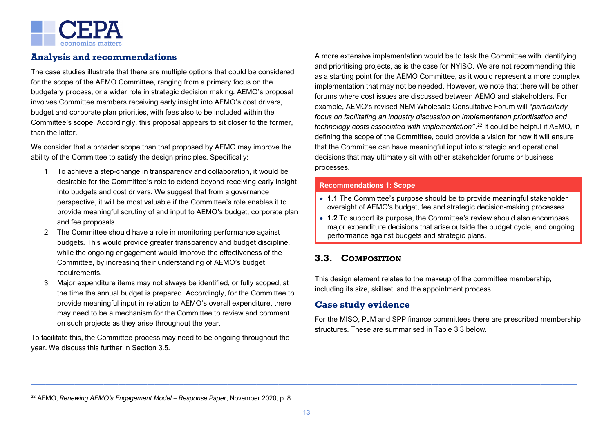

# **Analysis and recommendations**

The case studies illustrate that there are multiple options that could be considered for the scope of the AEMO Committee, ranging from a primary focus on the budgetary process, or a wider role in strategic decision making. AEMO's proposal involves Committee members receiving early insight into AEMO's cost drivers, budget and corporate plan priorities, with fees also to be included within the Committee's scope. Accordingly, this proposal appears to sit closer to the former, than the latter.

We consider that a broader scope than that proposed by AEMO may improve the ability of the Committee to satisfy the design principles. Specifically:

- 1. To achieve a step-change in transparency and collaboration, it would be desirable for the Committee's role to extend beyond receiving early insight into budgets and cost drivers. We suggest that from a governance perspective, it will be most valuable if the Committee's role enables it to provide meaningful scrutiny of and input to AEMO's budget, corporate plan and fee proposals.
- 2. The Committee should have a role in monitoring performance against budgets. This would provide greater transparency and budget discipline, while the ongoing engagement would improve the effectiveness of the Committee, by increasing their understanding of AEMO's budget requirements.
- 3. Major expenditure items may not always be identified, or fully scoped, at the time the annual budget is prepared. Accordingly, for the Committee to provide meaningful input in relation to AEMO's overall expenditure, there may need to be a mechanism for the Committee to review and comment on such projects as they arise throughout the year.

To facilitate this, the Committee process may need to be ongoing throughout the year. We discuss this further in Section [3.5.](#page-24-0)

A more extensive implementation would be to task the Committee with identifying and prioritising projects, as is the case for NYISO. We are not recommending this as a starting point for the AEMO Committee, as it would represent a more complex implementation that may not be needed. However, we note that there will be other forums where cost issues are discussed between AEMO and stakeholders. For example, AEMO's revised NEM Wholesale Consultative Forum will *"particularly focus on facilitating an industry discussion on implementation prioritisation and technology costs associated with implementation"*. [22](#page-26-1) It could be helpful if AEMO, in defining the scope of the Committee, could provide a vision for how it will ensure that the Committee can have meaningful input into strategic and operational decisions that may ultimately sit with other stakeholder forums or business processes.

#### **Recommendations 1: Scope**

- **1.1** The Committee's purpose should be to provide meaningful stakeholder oversight of AEMO's budget, fee and strategic decision-making processes.
- **1.2** To support its purpose, the Committee's review should also encompass major expenditure decisions that arise outside the budget cycle, and ongoing performance against budgets and strategic plans.

# <span id="page-18-0"></span>**3.3. COMPOSITION**

This design element relates to the makeup of the committee membership, including its size, skillset, and the appointment process.

# **Case study evidence**

For the MISO, PJM and SPP finance committees there are prescribed membership structures. These are summarised in [Table 3.3](#page-19-0) below.

<sup>22</sup> AEMO, *Renewing AEMO's Engagement Model – Response Paper*, November 2020, p. 8.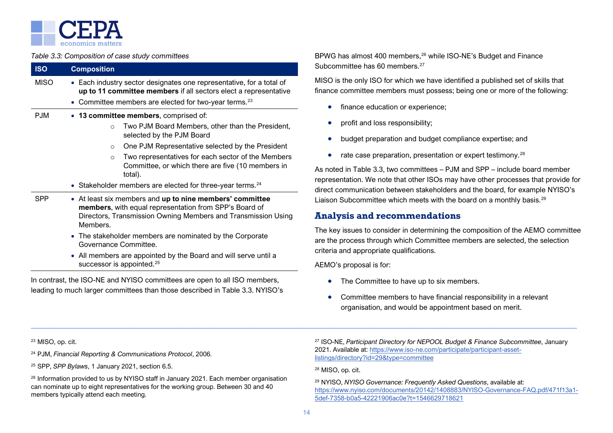

#### <span id="page-19-0"></span>*Table 3.3: Composition of case study committees*

| <b>ISO</b> | <b>Composition</b>                                                                                                                                                                                            |  |
|------------|---------------------------------------------------------------------------------------------------------------------------------------------------------------------------------------------------------------|--|
| MISO       | • Each industry sector designates one representative, for a total of<br>up to 11 committee members if all sectors elect a representative<br>• Committee members are elected for two-year terms. <sup>23</sup> |  |
| PJM        | • 13 committee members, comprised of:                                                                                                                                                                         |  |
|            | Two PJM Board Members, other than the President,<br>$\Omega$<br>selected by the PJM Board                                                                                                                     |  |
|            | One PJM Representative selected by the President<br>$\circ$                                                                                                                                                   |  |
|            | Two representatives for each sector of the Members<br>$\circ$<br>Committee, or which there are five (10 members in<br>total).                                                                                 |  |
|            | • Stakeholder members are elected for three-year terms. <sup>24</sup>                                                                                                                                         |  |
| SPP        | • At least six members and up to nine members' committee<br>members, with equal representation from SPP's Board of<br>Directors, Transmission Owning Members and Transmission Using<br>Members.               |  |
|            | • The stakeholder members are nominated by the Corporate<br>Governance Committee.                                                                                                                             |  |
|            | • All members are appointed by the Board and will serve until a                                                                                                                                               |  |

successor is appointed.<sup>[25](#page-27-2)</sup> In contrast, the ISO-NE and NYISO committees are open to all ISO members,

leading to much larger committees than those described in [Table 3.3.](#page-19-0) NYISO's

BPWG has almost 400 members,[26](#page-27-3) while ISO-NE's Budget and Finance committee has  $60$  members.<sup>[27](#page-27-0)</sup>

MISO is the only ISO for which we have identified a published set of skills that nce committee members must possess; being one or more of the following:

- finance education or experience;
- profit and loss responsibility;
- budget preparation and budget compliance expertise; and
- rate case preparation, presentation or expert testimony.<sup>[28](#page-27-4)</sup>

oted in [Table 3.3,](#page-19-0) two committees – PJM and SPP – include board member resentation. We note that other ISOs may have other processes that provide for ect communication between stakeholders and the board, for example NYISO's Liaison Subcommittee which meets with the board on a monthly basis.<sup>[29](#page-27-5)</sup>

### **Analysis and recommendations**

key issues to consider in determining the composition of the AEMO committee the process through which Committee members are selected, the selection eria and appropriate qualifications.

AEMO's proposal is for:

- The Committee to have up to six members.
- Committee members to have financial responsibility in a relevant organisation, and would be appointment based on merit.

<sup>23</sup> MISO, op. cit.

<sup>24</sup> PJM, *Financial Reporting & Communications Protocol*, 2006.

<sup>25</sup> SPP, *SPP Bylaws*, 1 January 2021, section 6.5.

 $26$  Information provided to us by NYISO staff in January 2021. Each member organisation can nominate up to eight representatives for the working group. Between 30 and 40 members typically attend each meeting.

<sup>27</sup> ISO-NE, *Participant Directory for NEPOOL Budget & Finance Subcommittee*, January 2021. Available at[: https://www.iso-ne.com/participate/participant-asset](https://www.iso-ne.com/participate/participant-asset-listings/directory?id=29&type=committee)[listings/directory?id=29&type=committee](https://www.iso-ne.com/participate/participant-asset-listings/directory?id=29&type=committee)

<sup>28</sup> MISO, op. cit.

<sup>29</sup> NYISO, *NYISO Governance: Frequently Asked Questions*, available at: [https://www.nyiso.com/documents/20142/1408883/NYISO-Governance-FAQ.pdf/471f13a1-](https://www.nyiso.com/documents/20142/1408883/NYISO-Governance-FAQ.pdf/471f13a1-5def-7358-b0a5-42221906ac0e?t=1546629718621) [5def-7358-b0a5-42221906ac0e?t=1546629718621](https://www.nyiso.com/documents/20142/1408883/NYISO-Governance-FAQ.pdf/471f13a1-5def-7358-b0a5-42221906ac0e?t=1546629718621)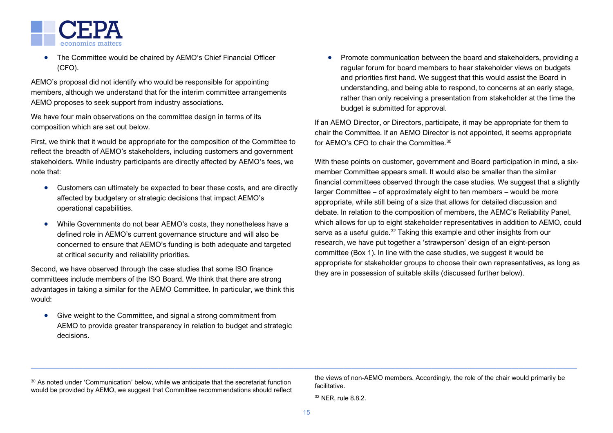

• The Committee would be chaired by AEMO's Chief Financial Officer (CFO).

AEMO's proposal did not identify who would be responsible for appointing members, although we understand that for the interim committee arrangements AEMO proposes to seek support from industry associations.

We have four main observations on the committee design in terms of its composition which are set out below.

First, we think that it would be appropriate for the composition of the Committee to reflect the breadth of AEMO's stakeholders, including customers and government stakeholders. While industry participants are directly affected by AEMO's fees, we note that:

- Customers can ultimately be expected to bear these costs, and are directly affected by budgetary or strategic decisions that impact AEMO's operational capabilities.
- While Governments do not bear AEMO's costs, they nonetheless have a defined role in AEMO's current governance structure and will also be concerned to ensure that AEMO's funding is both adequate and targeted at critical security and reliability priorities.

Second, we have observed through the case studies that some ISO finance committees include members of the ISO Board. We think that there are strong advantages in taking a similar for the AEMO Committee. In particular, we think this would:

• Give weight to the Committee, and signal a strong commitment from AEMO to provide greater transparency in relation to budget and strategic decisions.

• Promote communication between the board and stakeholders, providing a regular forum for board members to hear stakeholder views on budgets and priorities first hand. We suggest that this would assist the Board in understanding, and being able to respond, to concerns at an early stage, rather than only receiving a presentation from stakeholder at the time the budget is submitted for approval.

If an AEMO Director, or Directors, participate, it may be appropriate for them to chair the Committee. If an AEMO Director is not appointed, it seems appropriate for AEMO's CFO to chair the Committee. [30](#page-28-0)

With these points on customer, government and Board participation in mind, a sixmember Committee appears small. It would also be smaller than the similar financial committees observed through the case studies. We suggest that a slightly larger Committee – of approximately eight to ten members – would be more appropriate, while still being of a size that allows for detailed discussion and debate. In relation to the composition of members, the AEMC's Reliability Panel, which allows for up to eight stakeholder representatives in addition to AEMO, could serve as a useful guide.<sup>[32](#page-28-1)</sup> Taking this example and other insights from our research, we have put together a 'strawperson' design of an eight-person committee (Box 1). In line with the case studies, we suggest it would be appropriate for stakeholder groups to choose their own representatives, as long as they are in possession of suitable skills (discussed further below).

<sup>30</sup> As noted under 'Communication' below, while we anticipate that the secretariat function would be provided by AEMO, we suggest that Committee recommendations should reflect the views of non-AEMO members. Accordingly, the role of the chair would primarily be facilitative.

<sup>32</sup> NER, rule 8.8.2.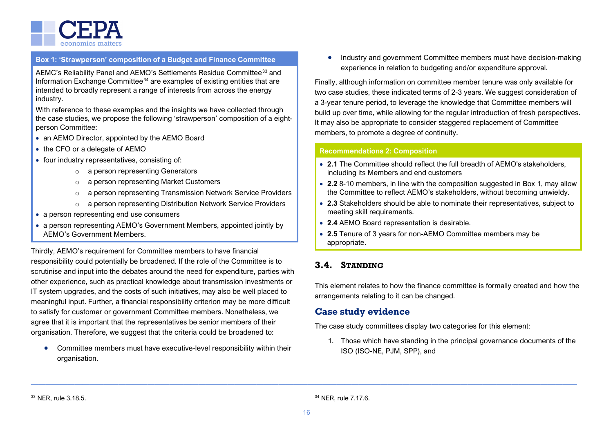

#### **Box 1: 'Strawperson' composition of a Budget and Finance Committee**

AEMC's Reliability Panel and AEMO's Settlements Residue Committee<sup>[33](#page-28-2)</sup> and Information Exchange Committee<sup>[34](#page-28-1)</sup> are examples of existing entities that are intended to broadly represent a range of interests from across the energy industry.

With reference to these examples and the insights we have collected through the case studies, we propose the following 'strawperson' composition of a eightperson Committee:

- an AEMO Director, appointed by the AEMO Board
- the CFO or a delegate of AEMO
- four industry representatives, consisting of:
	- o a person representing Generators
	- o a person representing Market Customers
	- o a person representing Transmission Network Service Providers
	- o a person representing Distribution Network Service Providers
- a person representing end use consumers
- a person representing AEMO's Government Members, appointed jointly by AEMO's Government Members.

Thirdly, AEMO's requirement for Committee members to have financial responsibility could potentially be broadened. If the role of the Committee is to scrutinise and input into the debates around the need for expenditure, parties with other experience, such as practical knowledge about transmission investments or IT system upgrades, and the costs of such initiatives, may also be well placed to meaningful input. Further, a financial responsibility criterion may be more difficult to satisfy for customer or government Committee members. Nonetheless, we agree that it is important that the representatives be senior members of their organisation. Therefore, we suggest that the criteria could be broadened to:

• Committee members must have executive-level responsibility within their organisation.

• Industry and government Committee members must have decision-making experience in relation to budgeting and/or expenditure approval.

Finally, although information on committee member tenure was only available for two case studies, these indicated terms of 2-3 years. We suggest consideration of a 3-year tenure period, to leverage the knowledge that Committee members will build up over time, while allowing for the regular introduction of fresh perspectives. It may also be appropriate to consider staggered replacement of Committee members, to promote a degree of continuity.

#### **Recommendations 2: Composition**

- **2.1** The Committee should reflect the full breadth of AEMO's stakeholders, including its Members and end customers
- **2.2** 8-10 members, in line with the composition suggested in Box 1, may allow the Committee to reflect AEMO's stakeholders, without becoming unwieldy.
- **2.3** Stakeholders should be able to nominate their representatives, subject to meeting skill requirements.
- **2.4** AEMO Board representation is desirable.
- **2.5** Tenure of 3 years for non-AEMO Committee members may be appropriate.

# <span id="page-21-0"></span>**3.4. STANDING**

This element relates to how the finance committee is formally created and how the arrangements relating to it can be changed.

### **Case study evidence**

The case study committees display two categories for this element:

1. Those which have standing in the principal governance documents of the ISO (ISO-NE, PJM, SPP), and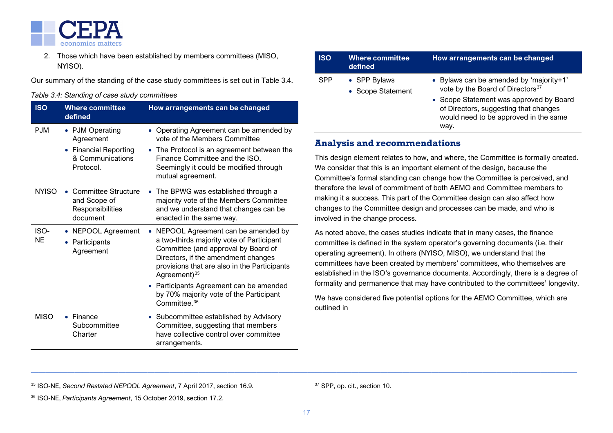

2. Those which have been established by members committees (MISO, NYISO).

Our summary of the standing of the case study committees is set out in [Table 3.4.](#page-22-5)

#### <span id="page-22-5"></span>*Table 3.4: Standing of case study committees*

| <b>ISO</b>        | <b>Where committee</b><br>defined                                                      | How arrangements can be changed                                                                                                                                                                                                                                                                                        |
|-------------------|----------------------------------------------------------------------------------------|------------------------------------------------------------------------------------------------------------------------------------------------------------------------------------------------------------------------------------------------------------------------------------------------------------------------|
| <b>PJM</b>        | • PJM Operating<br>Agreement<br>• Financial Reporting<br>& Communications<br>Protocol. | • Operating Agreement can be amended by<br>vote of the Members Committee<br>• The Protocol is an agreement between the<br>Finance Committee and the ISO.<br>Seemingly it could be modified through<br>mutual agreement.                                                                                                |
| <b>NYISO</b>      | Committee Structure<br>and Scope of<br>Responsibilities<br>document                    | The BPWG was established through a<br>majority vote of the Members Committee<br>and we understand that changes can be<br>enacted in the same way.                                                                                                                                                                      |
| ISO-<br><b>NE</b> | <b>NEPOOL Agreement</b><br>Participants<br>Agreement                                   | NEPOOL Agreement can be amended by<br>a two-thirds majority vote of Participant<br>Committee (and approval by Board of<br>Directors, if the amendment changes<br>provisions that are also in the Participants<br>Agreement) $35$<br>• Participants Agreement can be amended<br>by 70% majority vote of the Participant |
| <b>MISO</b>       | $\bullet$ Finance<br>Subcommittee<br>Charter                                           | Committee. <sup>36</sup><br>• Subcommittee established by Advisory<br>Committee, suggesting that members<br>have collective control over committee<br>arrangements.                                                                                                                                                    |

<span id="page-22-4"></span><span id="page-22-3"></span><span id="page-22-2"></span><span id="page-22-1"></span><span id="page-22-0"></span>

| <b>ISO</b> | <b>Where committee</b><br>defined | How arrangements can be changed                                                                                                   |
|------------|-----------------------------------|-----------------------------------------------------------------------------------------------------------------------------------|
| SPP        | • SPP Bylaws<br>• Scope Statement | • Bylaws can be amended by 'majority+1'<br>vote by the Board of Directors <sup>37</sup>                                           |
|            |                                   | • Scope Statement was approved by Board<br>of Directors, suggesting that changes<br>would need to be approved in the same<br>way. |

# **Analysis and recommendations**

This design element relates to how, and where, the Committee is formally created. We consider that this is an important element of the design, because the Committee's formal standing can change how the Committee is perceived, and therefore the level of commitment of both AEMO and Committee members to making it a success. This part of the Committee design can also affect how changes to the Committee design and processes can be made, and who is involved in the change process.

As noted above, the cases studies indicate that in many cases, the finance committee is defined in the system operator's governing documents (i.e. their operating agreement). In others (NYISO, MISO), we understand that the committees have been created by members' committees, who themselves are established in the ISO's governance documents. Accordingly, there is a degree of formality and permanence that may have contributed to the committees' longevity.

We have considered five potential options for the AEMO Committee, which are outlined in

<sup>35</sup> ISO-NE, *Second Restated NEPOOL Agreement*, 7 April 2017, section 16.9.

<sup>37</sup> SPP, op. cit., section 10.

<sup>36</sup> ISO-NE, *Participants Agreement*, 15 October 2019, section 17.2.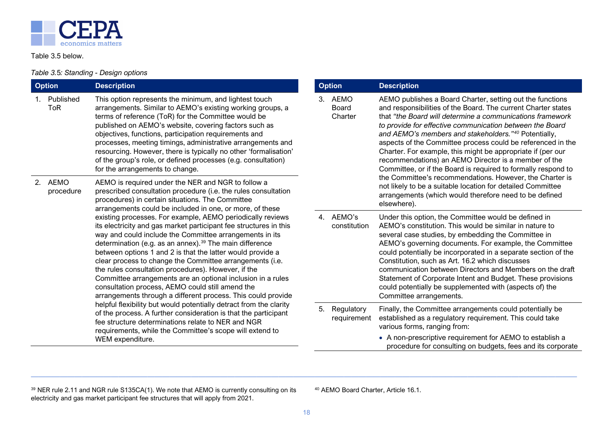<span id="page-23-0"></span>

<span id="page-23-1"></span>[Table 3.5](#page-23-1) below.

### *Table 3.*5*: Standing - Design options*

| <b>Option</b>           | <b>Description</b>                                                                                                                                                                                                                                                                                                                                                                                                                                                                                                                                                                                                                                                                                                                                                                                                                                                                                                                                                                                                                                                                                                                       | <b>Option</b>                         | <b>Description</b>                                                                                                                                                                                                                                                                                                                                                                                                                                                                                                                                                    |
|-------------------------|------------------------------------------------------------------------------------------------------------------------------------------------------------------------------------------------------------------------------------------------------------------------------------------------------------------------------------------------------------------------------------------------------------------------------------------------------------------------------------------------------------------------------------------------------------------------------------------------------------------------------------------------------------------------------------------------------------------------------------------------------------------------------------------------------------------------------------------------------------------------------------------------------------------------------------------------------------------------------------------------------------------------------------------------------------------------------------------------------------------------------------------|---------------------------------------|-----------------------------------------------------------------------------------------------------------------------------------------------------------------------------------------------------------------------------------------------------------------------------------------------------------------------------------------------------------------------------------------------------------------------------------------------------------------------------------------------------------------------------------------------------------------------|
| Published<br><b>ToR</b> | This option represents the minimum, and lightest touch<br>arrangements. Similar to AEMO's existing working groups, a<br>terms of reference (ToR) for the Committee would be<br>published on AEMO's website, covering factors such as<br>objectives, functions, participation requirements and<br>processes, meeting timings, administrative arrangements and<br>resourcing. However, there is typically no other 'formalisation'<br>of the group's role, or defined processes (e.g. consultation)<br>for the arrangements to change.                                                                                                                                                                                                                                                                                                                                                                                                                                                                                                                                                                                                     | <b>AEMO</b><br>3.<br>Board<br>Charter | AEMO publishes a Board Charter, setting out the functions<br>and responsibilities of the Board. The current Charter states<br>that "the Board will determine a communications framework"<br>to provide for effective communication between the Board<br>and AEMO's members and stakeholders."40 Potentially,<br>aspects of the Committee process could be referenced in the<br>Charter. For example, this might be appropriate if (per our<br>recommendations) an AEMO Director is a member of the<br>Committee, or if the Board is required to formally respond to   |
| 2. AEMO<br>procedure    | AEMO is required under the NER and NGR to follow a<br>prescribed consultation procedure (i.e. the rules consultation<br>procedures) in certain situations. The Committee<br>arrangements could be included in one, or more, of these<br>existing processes. For example, AEMO periodically reviews<br>its electricity and gas market participant fee structures in this<br>way and could include the Committee arrangements in its<br>determination (e.g. as an annex). <sup>39</sup> The main difference<br>between options 1 and 2 is that the latter would provide a<br>clear process to change the Committee arrangements (i.e.<br>the rules consultation procedures). However, if the<br>Committee arrangements are an optional inclusion in a rules<br>consultation process, AEMO could still amend the<br>arrangements through a different process. This could provide<br>helpful flexibility but would potentially detract from the clarity<br>of the process. A further consideration is that the participant<br>fee structure determinations relate to NER and NGR<br>requirements, while the Committee's scope will extend to |                                       | the Committee's recommendations. However, the Charter is<br>not likely to be a suitable location for detailed Committee<br>arrangements (which would therefore need to be defined<br>elsewhere).                                                                                                                                                                                                                                                                                                                                                                      |
|                         |                                                                                                                                                                                                                                                                                                                                                                                                                                                                                                                                                                                                                                                                                                                                                                                                                                                                                                                                                                                                                                                                                                                                          | 4. AEMO's<br>constitution             | Under this option, the Committee would be defined in<br>AEMO's constitution. This would be similar in nature to<br>several case studies, by embedding the Committee in<br>AEMO's governing documents. For example, the Committee<br>could potentially be incorporated in a separate section of the<br>Constitution, such as Art. 16.2 which discusses<br>communication between Directors and Members on the draft<br>Statement of Corporate Intent and Budget. These provisions<br>could potentially be supplemented with (aspects of) the<br>Committee arrangements. |
|                         |                                                                                                                                                                                                                                                                                                                                                                                                                                                                                                                                                                                                                                                                                                                                                                                                                                                                                                                                                                                                                                                                                                                                          | 5. Regulatory<br>requirement          | Finally, the Committee arrangements could potentially be<br>established as a regulatory requirement. This could take<br>various forms, ranging from:                                                                                                                                                                                                                                                                                                                                                                                                                  |
|                         | WEM expenditure.                                                                                                                                                                                                                                                                                                                                                                                                                                                                                                                                                                                                                                                                                                                                                                                                                                                                                                                                                                                                                                                                                                                         |                                       | • A non-prescriptive requirement for AEMO to establish a<br>procedure for consulting on budgets, fees and its corporate                                                                                                                                                                                                                                                                                                                                                                                                                                               |

<sup>39</sup> NER rule 2.11 and NGR rule S135CA(1). We note that AEMO is currently consulting on its electricity and gas market participant fee structures that will apply from 2021.

<sup>40</sup> AEMO Board Charter, Article 16.1.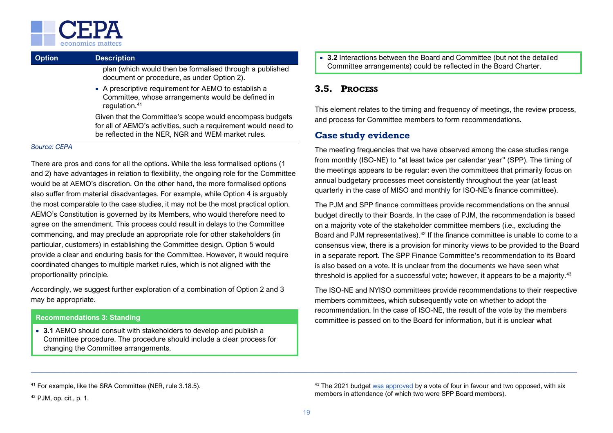

| <b>Option</b>                                                                                                                 | <b>Description</b>                                                                                     |
|-------------------------------------------------------------------------------------------------------------------------------|--------------------------------------------------------------------------------------------------------|
|                                                                                                                               | plan (which would then be formalised through a published<br>document or procedure, as under Option 2). |
| • A prescriptive requirement for AEMO to establish a<br>Committee, whose arrangements would be defined in<br>regulation. $41$ |                                                                                                        |
|                                                                                                                               | Given that the Committee's scope would encompass budgets                                               |

for all of AEMO's activities, such a requirement would need to be reflected in the NER, NGR and WEM market rules.

#### *Source: CEPA*

There are pros and cons for all the options. While the less formalised options (1 and 2) have advantages in relation to flexibility, the ongoing role for the Committee would be at AEMO's discretion. On the other hand, the more formalised options also suffer from material disadvantages. For example, while Option 4 is arguably the most comparable to the case studies, it may not be the most practical option. AEMO's Constitution is governed by its Members, who would therefore need to agree on the amendment. This process could result in delays to the Committee commencing, and may preclude an appropriate role for other stakeholders (in particular, customers) in establishing the Committee design. Option 5 would provide a clear and enduring basis for the Committee. However, it would require coordinated changes to multiple market rules, which is not aligned with the proportionality principle.

Accordingly, we suggest further exploration of a combination of Option 2 and 3 may be appropriate.

#### **Recommendations 3: Standing**

• **3.1** AEMO should consult with stakeholders to develop and publish a Committee procedure. The procedure should include a clear process for changing the Committee arrangements.

• **3.2** Interactions between the Board and Committee (but not the detailed Committee arrangements) could be reflected in the Board Charter.

# <span id="page-24-0"></span>**3.5. PROCESS**

This element relates to the timing and frequency of meetings, the review process, and process for Committee members to form recommendations.

### **Case study evidence**

The meeting frequencies that we have observed among the case studies range from monthly (ISO-NE) to "at least twice per calendar year" (SPP). The timing of the meetings appears to be regular: even the committees that primarily focus on annual budgetary processes meet consistently throughout the year (at least quarterly in the case of MISO and monthly for ISO-NE's finance committee).

The PJM and SPP finance committees provide recommendations on the annual budget directly to their Boards. In the case of PJM, the recommendation is based on a majority vote of the stakeholder committee members (i.e., excluding the Board and PJM representatives).<sup>[42](#page-28-3)</sup> If the finance committee is unable to come to a consensus view, there is a provision for minority views to be provided to the Board in a separate report. The SPP Finance Committee's recommendation to its Board is also based on a vote. It is unclear from the documents we have seen what threshold is applied for a successful vote; however, it appears to be a majority.<sup>[43](#page-28-0)</sup>

The ISO-NE and NYISO committees provide recommendations to their respective members committees, which subsequently vote on whether to adopt the recommendation. In the case of ISO-NE, the result of the vote by the members committee is passed on to the Board for information, but it is unclear what

<sup>42</sup> PJM, op. cit., p. 1.

<sup>43</sup> The 2021 budge[t was approved](https://www.spp.org/documents/63142/fc%20minutes%20and%20attachements%2020201012.pdf) by a vote of four in favour and two opposed, with six members in attendance (of which two were SPP Board members).

<sup>41</sup> For example, like the SRA Committee (NER, rule 3.18.5).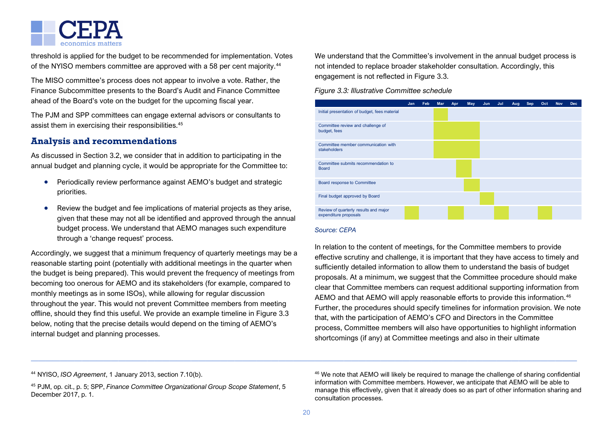

threshold is applied for the budget to be recommended for implementation. Votes of the NYISO members committee are approved with a 58 per cent majority.<sup>[44](#page-28-3)</sup>

The MISO committee's process does not appear to involve a vote. Rather, the Finance Subcommittee presents to the Board's Audit and Finance Committee ahead of the Board's vote on the budget for the upcoming fiscal year.

The PJM and SPP committees can engage external advisors or consultants to assist them in exercising their responsibilities.<sup>[45](#page-28-0)</sup>

# **Analysis and recommendations**

As discussed in Section [3.2,](#page-17-0) we consider that in addition to participating in the annual budget and planning cycle, it would be appropriate for the Committee to:

- Periodically review performance against AEMO's budget and strategic priorities.
- Review the budget and fee implications of material projects as they arise, given that these may not all be identified and approved through the annual budget process. We understand that AEMO manages such expenditure through a 'change request' process.

Accordingly, we suggest that a minimum frequency of quarterly meetings may be a reasonable starting point (potentially with additional meetings in the quarter when the budget is being prepared). This would prevent the frequency of meetings from becoming too onerous for AEMO and its stakeholders (for example, compared to monthly meetings as in some ISOs), while allowing for regular discussion throughout the year. This would not prevent Committee members from meeting offline, should they find this useful. We provide an example timeline in [Figure 3.3](#page-25-2) below, noting that the precise details would depend on the timing of AEMO's internal budget and planning processes.

<span id="page-25-1"></span><span id="page-25-0"></span>We understand that the Committee's involvement in the annual budget process is not intended to replace broader stakeholder consultation. Accordingly, this engagement is not reflected in [Figure 3.3.](#page-25-2)

<span id="page-25-2"></span>*Figure 3.3: Illustrative Committee schedule*



#### *Source: CEPA*

In relation to the content of meetings, for the Committee members to provide effective scrutiny and challenge, it is important that they have access to timely and sufficiently detailed information to allow them to understand the basis of budget proposals. At a minimum, we suggest that the Committee procedure should make clear that Committee members can request additional supporting information from AEMO and that AEMO will apply reasonable efforts to provide this information.<sup>[46](#page-28-5)</sup> Further, the procedures should specify timelines for information provision. We note that, with the participation of AEMO's CFO and Directors in the Committee process, Committee members will also have opportunities to highlight information shortcomings (if any) at Committee meetings and also in their ultimate

<sup>44</sup> NYISO, *ISO Agreement*, 1 January 2013, section 7.10(b).

<sup>45</sup> PJM, op. cit., p. 5; SPP, *Finance Committee Organizational Group Scope Statement*, 5 December 2017, p. 1.

<sup>46</sup> We note that AEMO will likely be required to manage the challenge of sharing confidential information with Committee members. However, we anticipate that AEMO will be able to manage this effectively, given that it already does so as part of other information sharing and consultation processes.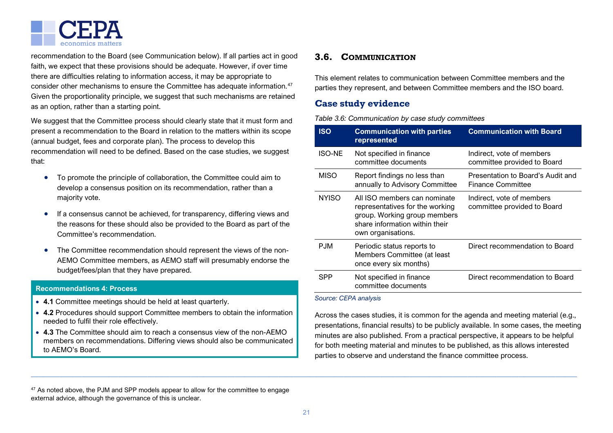

recommendation to the Board (see Communication below). If all parties act in good faith, we expect that these provisions should be adequate. However, if over time there are difficulties relating to information access, it may be appropriate to consider other mechanisms to ensure the Committee has adequate information. [47](#page-28-5) Given the proportionality principle, we suggest that such mechanisms are retained as an option, rather than a starting point.

We suggest that the Committee process should clearly state that it must form and present a recommendation to the Board in relation to the matters within its scope (annual budget, fees and corporate plan). The process to develop this recommendation will need to be defined. Based on the case studies, we suggest that:

- To promote the principle of collaboration, the Committee could aim to develop a consensus position on its recommendation, rather than a majority vote.
- If a consensus cannot be achieved, for transparency, differing views and the reasons for these should also be provided to the Board as part of the Committee's recommendation.
- The Committee recommendation should represent the views of the non-AEMO Committee members, as AEMO staff will presumably endorse the budget/fees/plan that they have prepared.

#### **Recommendations 4: Process**

- **4.1** Committee meetings should be held at least quarterly.
- **4.2** Procedures should support Committee members to obtain the information needed to fulfil their role effectively.
- **4.3** The Committee should aim to reach a consensus view of the non-AEMO members on recommendations. Differing views should also be communicated to AEMO's Board.

### <span id="page-26-1"></span><span id="page-26-0"></span>**3.6. COMMUNICATION**

This element relates to communication between Committee members and the parties they represent, and between Committee members and the ISO board.

### **Case study evidence**

*Table 3.6: Communication by case study committees*

| <b>ISO</b>    | <b>Communication with parties</b><br>represented                                                                                                        | <b>Communication with Board</b>                               |
|---------------|---------------------------------------------------------------------------------------------------------------------------------------------------------|---------------------------------------------------------------|
| <b>ISO-NE</b> | Not specified in finance<br>committee documents                                                                                                         | Indirect, vote of members<br>committee provided to Board      |
| <b>MISO</b>   | Report findings no less than<br>annually to Advisory Committee                                                                                          | Presentation to Board's Audit and<br><b>Finance Committee</b> |
| <b>NYISO</b>  | All ISO members can nominate<br>representatives for the working<br>group. Working group members<br>share information within their<br>own organisations. | Indirect, vote of members<br>committee provided to Board      |
| P.JM          | Periodic status reports to<br>Members Committee (at least<br>once every six months)                                                                     | Direct recommendation to Board                                |
| SPP           | Not specified in finance<br>committee documents                                                                                                         | Direct recommendation to Board                                |

#### *Source: CEPA analysis*

Across the cases studies, it is common for the agenda and meeting material (e.g., presentations, financial results) to be publicly available. In some cases, the meeting minutes are also published. From a practical perspective, it appears to be helpful for both meeting material and minutes to be published, as this allows interested parties to observe and understand the finance committee process.

<sup>47</sup> As noted above, the PJM and SPP models appear to allow for the committee to engage external advice, although the governance of this is unclear.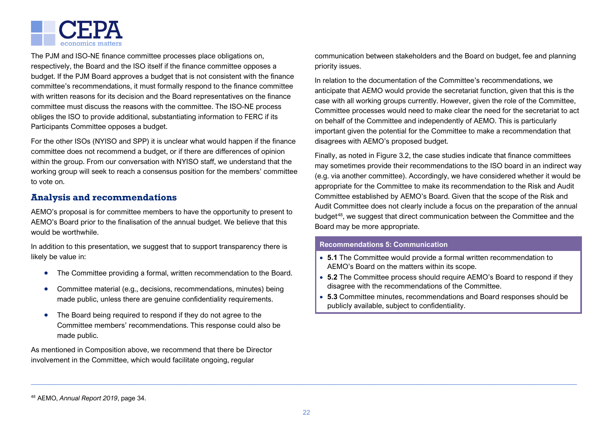

The PJM and ISO-NE finance committee processes place obligations on, respectively, the Board and the ISO itself if the finance committee opposes a budget. If the PJM Board approves a budget that is not consistent with the finance committee's recommendations, it must formally respond to the finance committee with written reasons for its decision and the Board representatives on the finance committee must discuss the reasons with the committee. The ISO-NE process obliges the ISO to provide additional, substantiating information to FERC if its Participants Committee opposes a budget.

For the other ISOs (NYISO and SPP) it is unclear what would happen if the finance committee does not recommend a budget, or if there are differences of opinion within the group. From our conversation with NYISO staff, we understand that the working group will seek to reach a consensus position for the members' committee to vote on.

### **Analysis and recommendations**

AEMO's proposal is for committee members to have the opportunity to present to AEMO's Board prior to the finalisation of the annual budget. We believe that this would be worthwhile.

In addition to this presentation, we suggest that to support transparency there is likely be value in:

- The Committee providing a formal, written recommendation to the Board.
- Committee material (e.g., decisions, recommendations, minutes) being made public, unless there are genuine confidentiality requirements.
- The Board being required to respond if they do not agree to the Committee members' recommendations. This response could also be made public.

As mentioned in Composition above, we recommend that there be Director involvement in the Committee, which would facilitate ongoing, regular

<span id="page-27-5"></span><span id="page-27-4"></span><span id="page-27-3"></span><span id="page-27-2"></span><span id="page-27-1"></span><span id="page-27-0"></span>communication between stakeholders and the Board on budget, fee and planning priority issues.

In relation to the documentation of the Committee's recommendations, we anticipate that AEMO would provide the secretariat function, given that this is the case with all working groups currently. However, given the role of the Committee, Committee processes would need to make clear the need for the secretariat to act on behalf of the Committee and independently of AEMO. This is particularly important given the potential for the Committee to make a recommendation that disagrees with AEMO's proposed budget.

Finally, as noted in [Figure 3.2,](#page-16-0) the case studies indicate that finance committees may sometimes provide their recommendations to the ISO board in an indirect way (e.g. via another committee). Accordingly, we have considered whether it would be appropriate for the Committee to make its recommendation to the Risk and Audit Committee established by AEMO's Board. Given that the scope of the Risk and Audit Committee does not clearly include a focus on the preparation of the annual budget[48,](#page-28-1) we suggest that direct communication between the Committee and the Board may be more appropriate.

#### **Recommendations 5: Communication**

- **5.1** The Committee would provide a formal written recommendation to AEMO's Board on the matters within its scope.
- **5.2** The Committee process should require AEMO's Board to respond if they disagree with the recommendations of the Committee.
- **5.3** Committee minutes, recommendations and Board responses should be publicly available, subject to confidentiality.

<sup>48</sup> AEMO, *Annual Report 2019*, page 34.